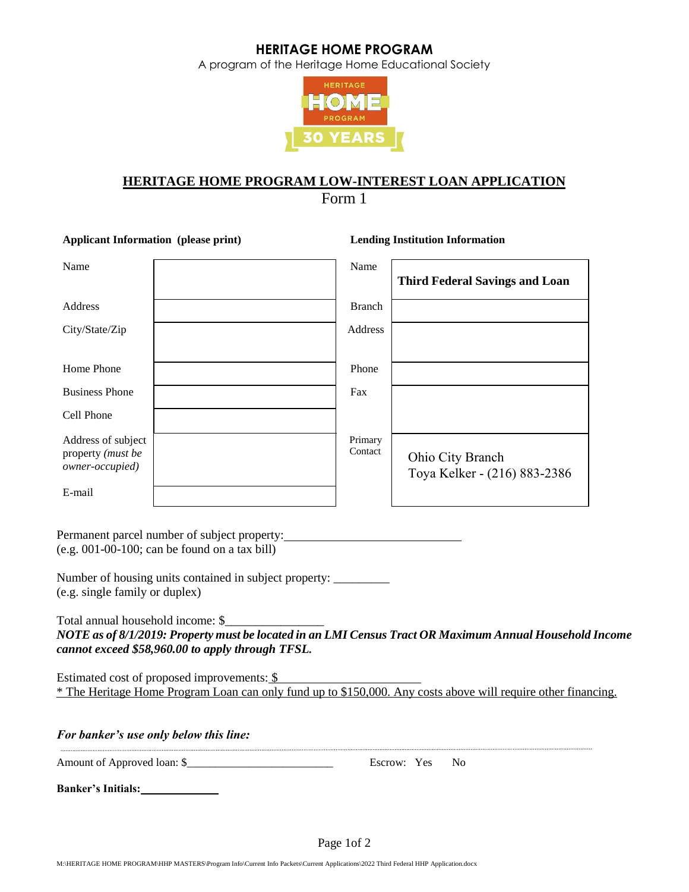A program of the Heritage Home Educational Society



# **HERITAGE HOME PROGRAM LOW-INTEREST LOAN APPLICATION**

Form 1

**Applicant Information (please print) Lending Institution Information** Name Name Name **Third Federal Savings and Loan** Address **Branch** City/State/Zip Address Home Phone Phone Business Phone Fax Cell Phone Address of subject property *(must be owner-occupied)* Primary Contact | Ohio City Branch Toya Kelker - (216) 883-2386 E-mail

Permanent parcel number of subject property: (e.g. 001-00-100; can be found on a tax bill)

Number of housing units contained in subject property: \_\_\_\_\_\_\_\_\_ (e.g. single family or duplex)

Total annual household income: \$\_\_\_\_\_\_\_\_\_\_\_\_\_\_\_\_ *NOTE as of 8/1/2019: Property must be located in an LMI Census Tract OR Maximum Annual Household Income cannot exceed \$58,960.00 to apply through TFSL.* 

Estimated cost of proposed improvements: \$ \* The Heritage Home Program Loan can only fund up to \$150,000. Any costs above will require other financing.

| <b>For banker's use only below this line:</b> |             |     |
|-----------------------------------------------|-------------|-----|
| Amount of Approved loan: \$                   | Escrow: Yes | No. |
| <b>Banker's Initials:</b>                     |             |     |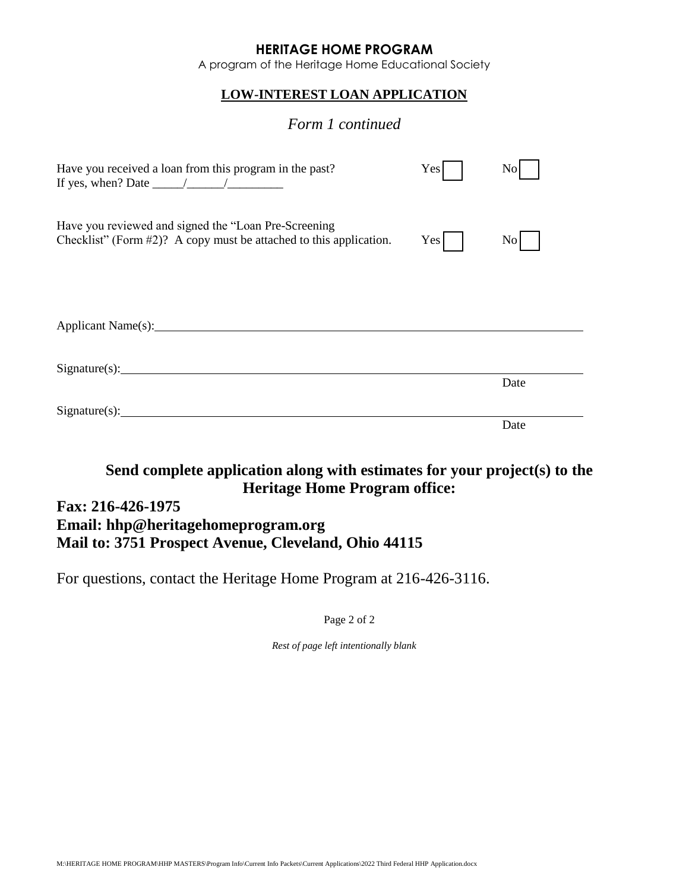A program of the Heritage Home Educational Society

## **LOW-INTEREST LOAN APPLICATION**

# *Form 1 continued*

| Have you received a loan from this program in the past?<br>If yes, when? Date $\frac{\sqrt{2\pi}}{2\pi}$                      | Yes | N <sub>0</sub> |  |
|-------------------------------------------------------------------------------------------------------------------------------|-----|----------------|--|
| Have you reviewed and signed the "Loan Pre-Screening<br>Checklist" (Form $#2$ )? A copy must be attached to this application. | Yes | $\rm{No}$      |  |
|                                                                                                                               |     |                |  |
| Signature(s):                                                                                                                 |     | Date           |  |
| $Sigma(x):$ Signature(s):                                                                                                     |     |                |  |
|                                                                                                                               |     | Date           |  |

# **Send complete application along with estimates for your project(s) to the Heritage Home Program office:**

# **Fax: 216-426-1975 Email: hhp@heritagehomeprogram.org Mail to: 3751 Prospect Avenue, Cleveland, Ohio 44115**

For questions, contact the Heritage Home Program at 216-426-3116.

Page 2 of 2

*Rest of page left intentionally blank*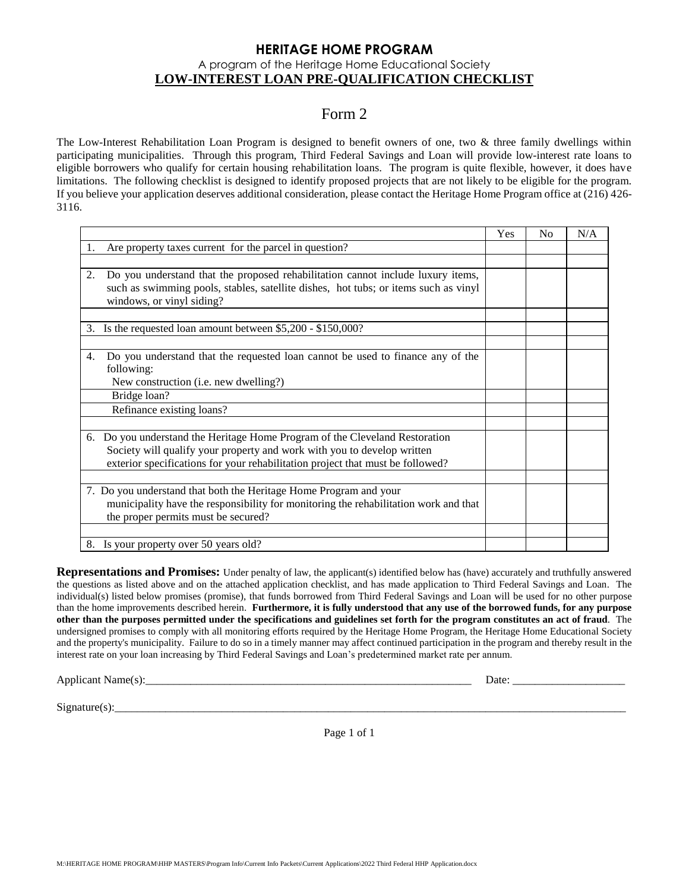#### **HERITAGE HOME PROGRAM** A program of the Heritage Home Educational Society **LOW-INTEREST LOAN PRE-QUALIFICATION CHECKLIST**

# Form 2

The Low-Interest Rehabilitation Loan Program is designed to benefit owners of one, two & three family dwellings within participating municipalities. Through this program, Third Federal Savings and Loan will provide low-interest rate loans to eligible borrowers who qualify for certain housing rehabilitation loans. The program is quite flexible, however, it does have limitations. The following checklist is designed to identify proposed projects that are not likely to be eligible for the program. If you believe your application deserves additional consideration, please contact the Heritage Home Program office at (216) 426- 3116.

|            |                                                                                                                  | Yes | N <sub>0</sub> | N/A |
|------------|------------------------------------------------------------------------------------------------------------------|-----|----------------|-----|
| 1.         | Are property taxes current for the parcel in question?                                                           |     |                |     |
|            |                                                                                                                  |     |                |     |
| 2.         | Do you understand that the proposed rehabilitation cannot include luxury items,                                  |     |                |     |
|            | such as swimming pools, stables, satellite dishes, hot tubs; or items such as vinyl<br>windows, or vinyl siding? |     |                |     |
|            |                                                                                                                  |     |                |     |
| 3.         | Is the requested loan amount between \$5,200 - \$150,000?                                                        |     |                |     |
|            |                                                                                                                  |     |                |     |
| 4.         | Do you understand that the requested loan cannot be used to finance any of the                                   |     |                |     |
| following: |                                                                                                                  |     |                |     |
|            | New construction (i.e. new dwelling?)                                                                            |     |                |     |
|            | Bridge loan?                                                                                                     |     |                |     |
|            | Refinance existing loans?                                                                                        |     |                |     |
|            |                                                                                                                  |     |                |     |
|            | 6. Do you understand the Heritage Home Program of the Cleveland Restoration                                      |     |                |     |
|            | Society will qualify your property and work with you to develop written                                          |     |                |     |
|            | exterior specifications for your rehabilitation project that must be followed?                                   |     |                |     |
|            |                                                                                                                  |     |                |     |
|            | 7. Do you understand that both the Heritage Home Program and your                                                |     |                |     |
|            | municipality have the responsibility for monitoring the rehabilitation work and that                             |     |                |     |
|            | the proper permits must be secured?                                                                              |     |                |     |
|            |                                                                                                                  |     |                |     |
|            | 8. Is your property over 50 years old?                                                                           |     |                |     |

**Representations and Promises:** Under penalty of law, the applicant(s) identified below has (have) accurately and truthfully answered the questions as listed above and on the attached application checklist, and has made application to Third Federal Savings and Loan. The individual(s) listed below promises (promise), that funds borrowed from Third Federal Savings and Loan will be used for no other purpose than the home improvements described herein. **Furthermore, it is fully understood that any use of the borrowed funds, for any purpose other than the purposes permitted under the specifications and guidelines set forth for the program constitutes an act of fraud**. The undersigned promises to comply with all monitoring efforts required by the Heritage Home Program, the Heritage Home Educational Society and the property's municipality. Failure to do so in a timely manner may affect continued participation in the program and thereby result in the interest rate on your loan increasing by Third Federal Savings and Loan's predetermined market rate per annum.

Applicant Name(s):\_\_\_\_\_\_\_\_\_\_\_\_\_\_\_\_\_\_\_\_\_\_\_\_\_\_\_\_\_\_\_\_\_\_\_\_\_\_\_\_\_\_\_\_\_\_\_\_\_\_\_\_\_\_\_\_\_\_ Date: \_\_\_\_\_\_\_\_\_\_\_\_\_\_\_\_\_\_\_\_

 $Signature(s):$ 

Page 1 of 1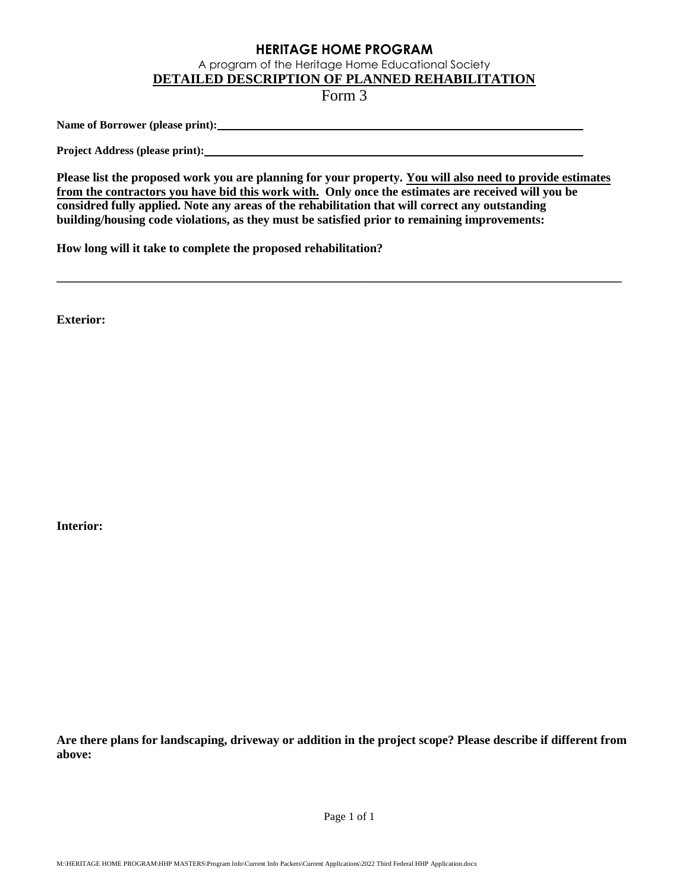A program of the Heritage Home Educational Society

**DETAILED DESCRIPTION OF PLANNED REHABILITATION** 

Form 3

Name of Borrower (please print): <u>**with and the contract of Borrower**</u>

**Project Address (please print):** 

**Please list the proposed work you are planning for your property. You will also need to provide estimates from the contractors you have bid this work with. Only once the estimates are received will you be considred fully applied. Note any areas of the rehabilitation that will correct any outstanding building/housing code violations, as they must be satisfied prior to remaining improvements:** 

**\_\_\_\_\_\_\_\_\_\_\_\_\_\_\_\_\_\_\_\_\_\_\_\_\_\_\_\_\_\_\_\_\_\_\_\_\_\_\_\_\_\_\_\_\_\_\_\_\_\_\_\_\_\_\_\_\_\_\_\_\_\_\_\_\_\_\_\_\_\_\_\_\_\_\_\_\_\_\_\_\_\_\_\_\_\_\_\_\_\_\_** 

**How long will it take to complete the proposed rehabilitation?** 

**Exterior:**

**Interior:**

**Are there plans for landscaping, driveway or addition in the project scope? Please describe if different from above:** 

Page 1 of 1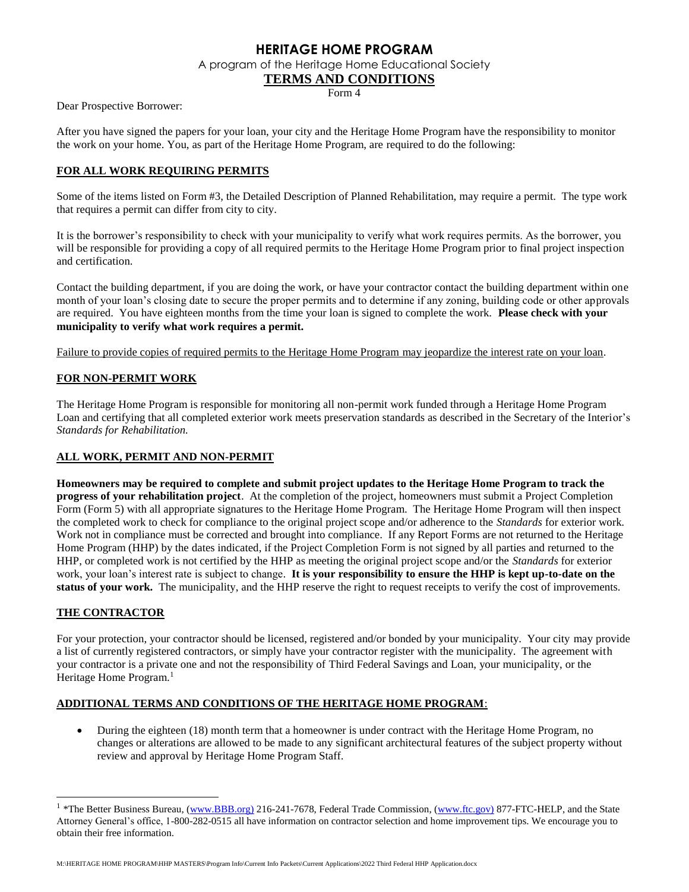A program of the Heritage Home Educational Society

#### **TERMS AND CONDITIONS**

Form 4

Dear Prospective Borrower:

After you have signed the papers for your loan, your city and the Heritage Home Program have the responsibility to monitor the work on your home. You, as part of the Heritage Home Program, are required to do the following:

#### **FOR ALL WORK REQUIRING PERMITS**

Some of the items listed on Form #3, the Detailed Description of Planned Rehabilitation, may require a permit. The type work that requires a permit can differ from city to city.

It is the borrower's responsibility to check with your municipality to verify what work requires permits. As the borrower, you will be responsible for providing a copy of all required permits to the Heritage Home Program prior to final project inspection and certification.

Contact the building department, if you are doing the work, or have your contractor contact the building department within one month of your loan's closing date to secure the proper permits and to determine if any zoning, building code or other approvals are required. You have eighteen months from the time your loan is signed to complete the work. **Please check with your municipality to verify what work requires a permit.**

Failure to provide copies of required permits to the Heritage Home Program may jeopardize the interest rate on your loan.

#### **FOR NON-PERMIT WORK**

The Heritage Home Program is responsible for monitoring all non-permit work funded through a Heritage Home Program Loan and certifying that all completed exterior work meets preservation standards as described in the Secretary of the Interior's *Standards for Rehabilitation.*

#### **ALL WORK, PERMIT AND NON-PERMIT**

**Homeowners may be required to complete and submit project updates to the Heritage Home Program to track the progress of your rehabilitation project**. At the completion of the project, homeowners must submit a Project Completion Form (Form 5) with all appropriate signatures to the Heritage Home Program. The Heritage Home Program will then inspect the completed work to check for compliance to the original project scope and/or adherence to the *Standards* for exterior work*.* Work not in compliance must be corrected and brought into compliance. If any Report Forms are not returned to the Heritage Home Program (HHP) by the dates indicated, if the Project Completion Form is not signed by all parties and returned to the HHP, or completed work is not certified by the HHP as meeting the original project scope and/or the *Standards* for exterior work, your loan's interest rate is subject to change. **It is your responsibility to ensure the HHP is kept up-to-date on the status of your work.** The municipality, and the HHP reserve the right to request receipts to verify the cost of improvements.

#### **THE CONTRACTOR**

l

For your protection, your contractor should be licensed, registered and/or bonded by your municipality. Your city may provide a list of currently registered contractors, or simply have your contractor register with the municipality. The agreement with your contractor is a private one and not the responsibility of Third Federal Savings and Loan, your municipality, or the Heritage Home Program.<sup>1</sup>

#### **ADDITIONAL TERMS AND CONDITIONS OF THE HERITAGE HOME PROGRAM**:

• During the eighteen (18) month term that a homeowner is under contract with the Heritage Home Program, no changes or alterations are allowed to be made to any significant architectural features of the subject property without review and approval by Heritage Home Program Staff.

M:\HERITAGE HOME PROGRAM\HHP MASTERS\Program Info\Current Info Packets\Current Applications\2022 Third Federal HHP Application.docx

<sup>&</sup>lt;sup>1</sup> \*The Better Business Bureau, [\(www.BBB.org\)](http://www.bbb.org)/) 216-241-7678, Federal Trade Commission, [\(www.ftc.gov\)](http://www.ftc.gov)/) 877-FTC-HELP, and the State Attorney General's office, 1-800-282-0515 all have information on contractor selection and home improvement tips. We encourage you to obtain their free information.